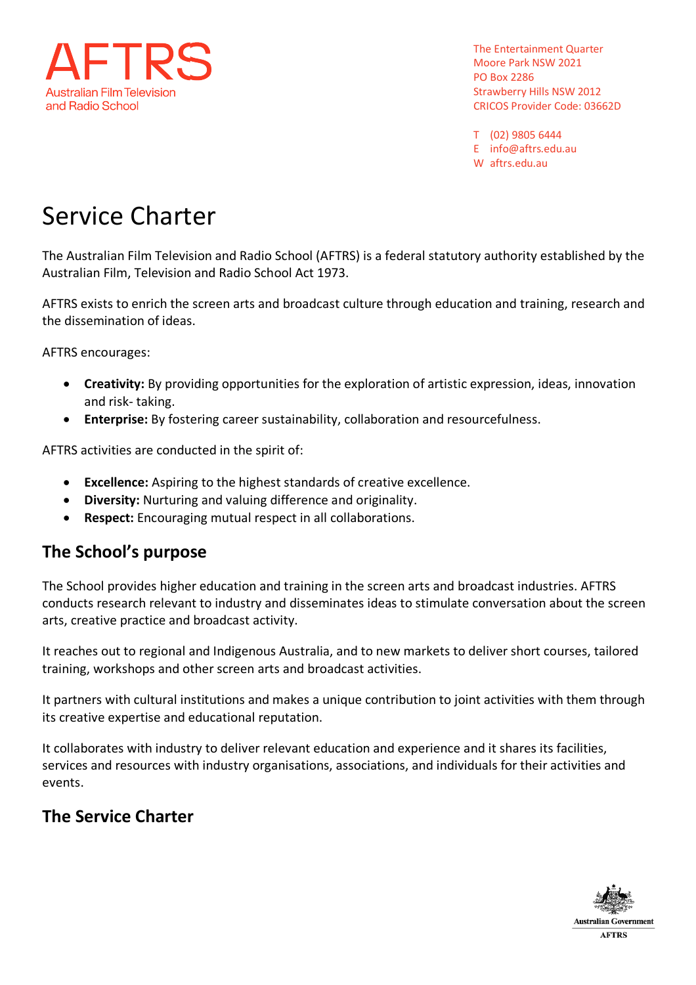

T (02) 9805 6444 E info@aftrs.edu.au W aftrs.edu.au

# Service Charter

The Australian Film Television and Radio School (AFTRS) is a federal statutory authority established by the Australian Film, Television and Radio School Act 1973.

AFTRS exists to enrich the screen arts and broadcast culture through education and training, research and the dissemination of ideas.

AFTRS encourages:

- **Creativity:** By providing opportunities for the exploration of artistic expression, ideas, innovation and risk- taking.
- **Enterprise:** By fostering career sustainability, collaboration and resourcefulness.

AFTRS activities are conducted in the spirit of:

- **Excellence:** Aspiring to the highest standards of creative excellence.
- **Diversity:** Nurturing and valuing difference and originality.
- **Respect:** Encouraging mutual respect in all collaborations.

#### **The School's purpose**

The School provides higher education and training in the screen arts and broadcast industries. AFTRS conducts research relevant to industry and disseminates ideas to stimulate conversation about the screen arts, creative practice and broadcast activity.

It reaches out to regional and Indigenous Australia, and to new markets to deliver short courses, tailored training, workshops and other screen arts and broadcast activities.

It partners with cultural institutions and makes a unique contribution to joint activities with them through its creative expertise and educational reputation.

It collaborates with industry to deliver relevant education and experience and it shares its facilities, services and resources with industry organisations, associations, and individuals for their activities and events.

#### **The Service Charter**

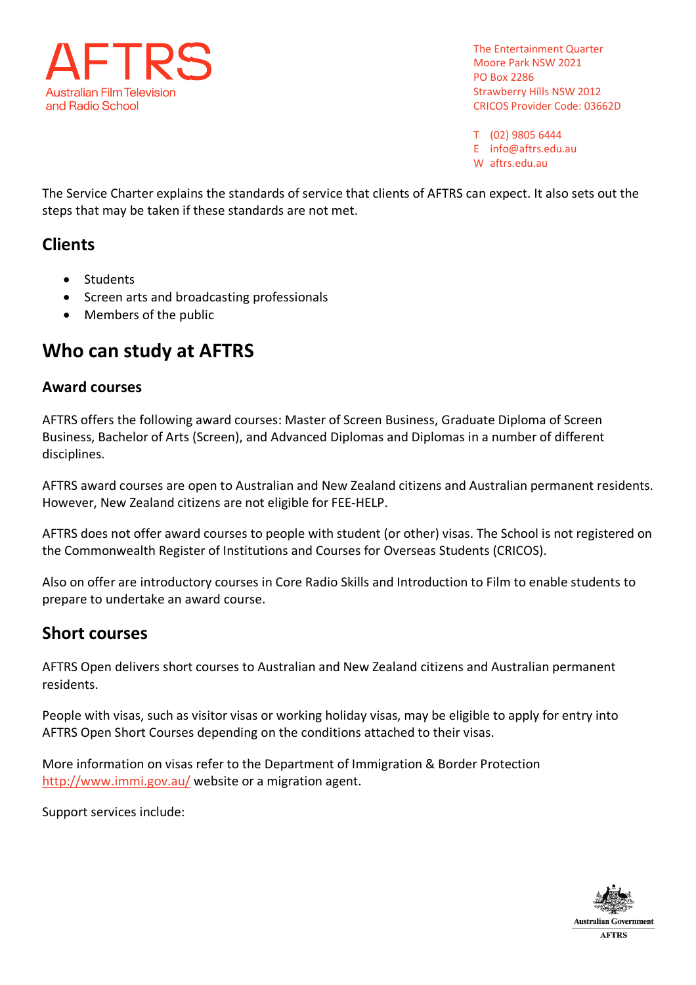

T (02) 9805 6444 E info@aftrs.edu.au W aftrs.edu.au

The Service Charter explains the standards of service that clients of AFTRS can expect. It also sets out the steps that may be taken if these standards are not met.

### **Clients**

- Students
- Screen arts and broadcasting professionals
- Members of the public

## **Who can study at AFTRS**

#### **Award courses**

AFTRS offers the following award courses: Master of Screen Business, Graduate Diploma of Screen Business, Bachelor of Arts (Screen), and Advanced Diplomas and Diplomas in a number of different disciplines.

AFTRS award courses are open to Australian and New Zealand citizens and Australian permanent residents. However, New Zealand citizens are not eligible for FEE-HELP.

AFTRS does not offer award courses to people with student (or other) visas. The School is not registered on the Commonwealth Register of Institutions and Courses for Overseas Students (CRICOS).

Also on offer are introductory courses in Core Radio Skills and Introduction to Film to enable students to prepare to undertake an award course.

#### **Short courses**

AFTRS Open delivers short courses to Australian and New Zealand citizens and Australian permanent residents.

People with visas, such as visitor visas or working holiday visas, may be eligible to apply for entry into AFTRS Open Short Courses depending on the conditions attached to their visas.

More information on visas refer to the Department of Immigration & Border Protection http://www.immi.gov.au/ website or a migration agent.

Support services include:

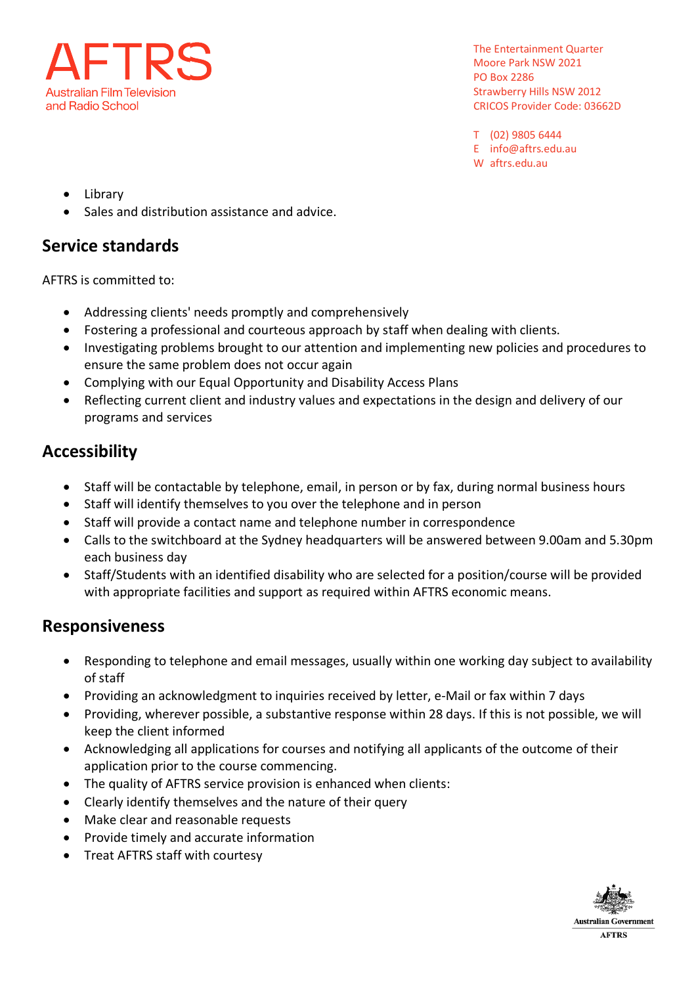

T (02) 9805 6444 E info@aftrs.edu.au W aftrs.edu.au

- Library
- Sales and distribution assistance and advice.

#### **Service standards**

AFTRS is committed to:

- Addressing clients' needs promptly and comprehensively
- Fostering a professional and courteous approach by staff when dealing with clients.
- Investigating problems brought to our attention and implementing new policies and procedures to ensure the same problem does not occur again
- Complying with our Equal Opportunity and Disability Access Plans
- Reflecting current client and industry values and expectations in the design and delivery of our programs and services

## **Accessibility**

- Staff will be contactable by telephone, email, in person or by fax, during normal business hours
- Staff will identify themselves to you over the telephone and in person
- Staff will provide a contact name and telephone number in correspondence
- Calls to the switchboard at the Sydney headquarters will be answered between 9.00am and 5.30pm each business day
- Staff/Students with an identified disability who are selected for a position/course will be provided with appropriate facilities and support as required within AFTRS economic means.

#### **Responsiveness**

- Responding to telephone and email messages, usually within one working day subject to availability of staff
- Providing an acknowledgment to inquiries received by letter, e-Mail or fax within 7 days
- Providing, wherever possible, a substantive response within 28 days. If this is not possible, we will keep the client informed
- Acknowledging all applications for courses and notifying all applicants of the outcome of their application prior to the course commencing.
- The quality of AFTRS service provision is enhanced when clients:
- Clearly identify themselves and the nature of their query
- Make clear and reasonable requests
- Provide timely and accurate information
- Treat AFTRS staff with courtesy